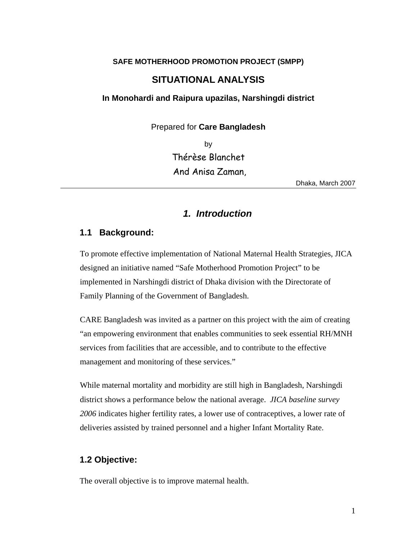#### **SAFE MOTHERHOOD PROMOTION PROJECT (SMPP)**

# **SITUATIONAL ANALYSIS**

**In Monohardi and Raipura upazilas, Narshingdi district** 

Prepared for **Care Bangladesh** 

 by Thérèse Blanchet And Anisa Zaman,

Dhaka, March 2007

# *1. Introduction*

### **1.1 Background:**

To promote effective implementation of National Maternal Health Strategies, JICA designed an initiative named "Safe Motherhood Promotion Project" to be implemented in Narshingdi district of Dhaka division with the Directorate of Family Planning of the Government of Bangladesh.

CARE Bangladesh was invited as a partner on this project with the aim of creating "an empowering environment that enables communities to seek essential RH/MNH services from facilities that are accessible, and to contribute to the effective management and monitoring of these services."

While maternal mortality and morbidity are still high in Bangladesh, Narshingdi district shows a performance below the national average. *JICA baseline survey 2006* indicates higher fertility rates, a lower use of contraceptives, a lower rate of deliveries assisted by trained personnel and a higher Infant Mortality Rate.

### **1.2 Objective:**

The overall objective is to improve maternal health.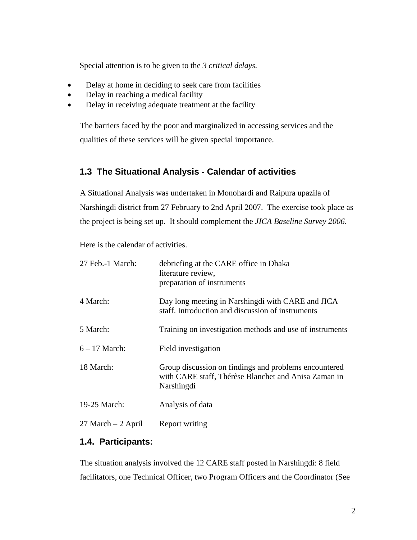Special attention is to be given to the *3 critical delays.* 

- Delay at home in deciding to seek care from facilities
- Delay in reaching a medical facility
- Delay in receiving adequate treatment at the facility

The barriers faced by the poor and marginalized in accessing services and the qualities of these services will be given special importance.

# **1.3 The Situational Analysis - Calendar of activities**

A Situational Analysis was undertaken in Monohardi and Raipura upazila of Narshingdi district from 27 February to 2nd April 2007. The exercise took place as the project is being set up. It should complement the *JICA Baseline Survey 2006*.

Here is the calendar of activities.

| 27 Feb.-1 March:      | debriefing at the CARE office in Dhaka<br>literature review,<br>preparation of instruments                                  |
|-----------------------|-----------------------------------------------------------------------------------------------------------------------------|
| 4 March:              | Day long meeting in Narshingdi with CARE and JICA<br>staff. Introduction and discussion of instruments                      |
| 5 March:              | Training on investigation methods and use of instruments                                                                    |
| $6 - 17$ March:       | Field investigation                                                                                                         |
| 18 March:             | Group discussion on findings and problems encountered<br>with CARE staff, Thérèse Blanchet and Anisa Zaman in<br>Narshingdi |
| 19-25 March:          | Analysis of data                                                                                                            |
| $27$ March $-2$ April | Report writing                                                                                                              |

## **1.4. Participants:**

The situation analysis involved the 12 CARE staff posted in Narshingdi: 8 field facilitators, one Technical Officer, two Program Officers and the Coordinator (See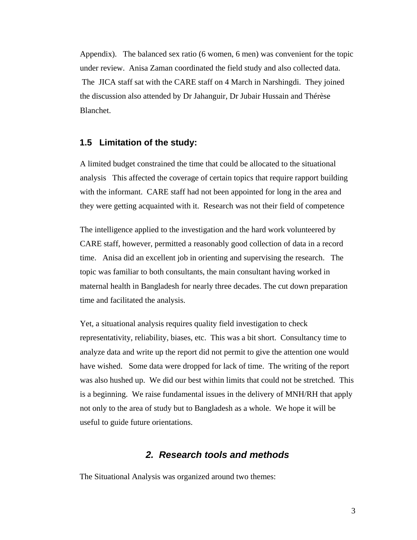Appendix). The balanced sex ratio (6 women, 6 men) was convenient for the topic under review. Anisa Zaman coordinated the field study and also collected data. The JICA staff sat with the CARE staff on 4 March in Narshingdi. They joined the discussion also attended by Dr Jahanguir, Dr Jubair Hussain and Thérèse Blanchet.

### **1.5 Limitation of the study:**

A limited budget constrained the time that could be allocated to the situational analysis This affected the coverage of certain topics that require rapport building with the informant. CARE staff had not been appointed for long in the area and they were getting acquainted with it. Research was not their field of competence

The intelligence applied to the investigation and the hard work volunteered by CARE staff, however, permitted a reasonably good collection of data in a record time. Anisa did an excellent job in orienting and supervising the research. The topic was familiar to both consultants, the main consultant having worked in maternal health in Bangladesh for nearly three decades. The cut down preparation time and facilitated the analysis.

Yet, a situational analysis requires quality field investigation to check representativity, reliability, biases, etc. This was a bit short. Consultancy time to analyze data and write up the report did not permit to give the attention one would have wished. Some data were dropped for lack of time. The writing of the report was also hushed up. We did our best within limits that could not be stretched. This is a beginning. We raise fundamental issues in the delivery of MNH/RH that apply not only to the area of study but to Bangladesh as a whole. We hope it will be useful to guide future orientations.

## *2. Research tools and methods*

The Situational Analysis was organized around two themes: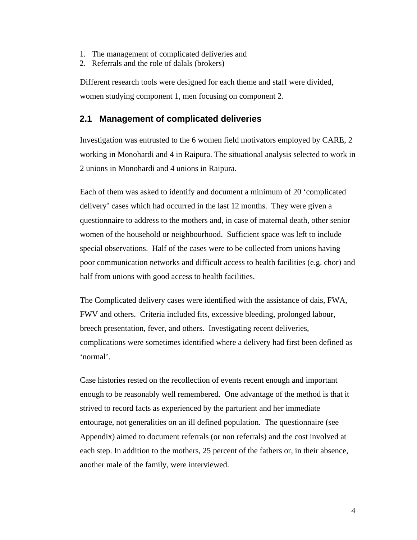- 1. The management of complicated deliveries and
- 2. Referrals and the role of dalals (brokers)

Different research tools were designed for each theme and staff were divided, women studying component 1, men focusing on component 2.

### **2.1 Management of complicated deliveries**

Investigation was entrusted to the 6 women field motivators employed by CARE, 2 working in Monohardi and 4 in Raipura. The situational analysis selected to work in 2 unions in Monohardi and 4 unions in Raipura.

Each of them was asked to identify and document a minimum of 20 'complicated delivery' cases which had occurred in the last 12 months. They were given a questionnaire to address to the mothers and, in case of maternal death, other senior women of the household or neighbourhood. Sufficient space was left to include special observations. Half of the cases were to be collected from unions having poor communication networks and difficult access to health facilities (e.g. chor) and half from unions with good access to health facilities.

The Complicated delivery cases were identified with the assistance of dais, FWA, FWV and others. Criteria included fits, excessive bleeding, prolonged labour, breech presentation, fever, and others. Investigating recent deliveries, complications were sometimes identified where a delivery had first been defined as 'normal'.

Case histories rested on the recollection of events recent enough and important enough to be reasonably well remembered. One advantage of the method is that it strived to record facts as experienced by the parturient and her immediate entourage, not generalities on an ill defined population. The questionnaire (see Appendix) aimed to document referrals (or non referrals) and the cost involved at each step. In addition to the mothers, 25 percent of the fathers or, in their absence, another male of the family, were interviewed.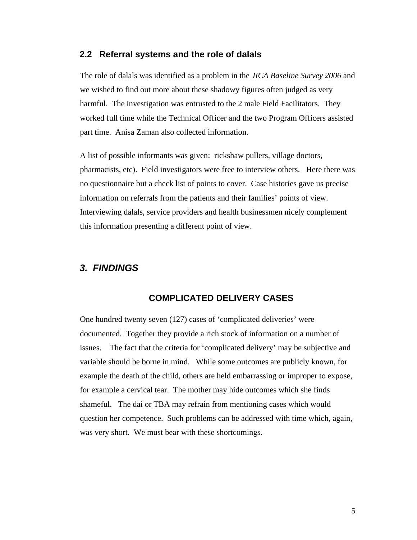#### **2.2 Referral systems and the role of dalals**

The role of dalals was identified as a problem in the *JICA Baseline Survey 2006* and we wished to find out more about these shadowy figures often judged as very harmful. The investigation was entrusted to the 2 male Field Facilitators. They worked full time while the Technical Officer and the two Program Officers assisted part time. Anisa Zaman also collected information.

A list of possible informants was given: rickshaw pullers, village doctors, pharmacists, etc). Field investigators were free to interview others. Here there was no questionnaire but a check list of points to cover. Case histories gave us precise information on referrals from the patients and their families' points of view. Interviewing dalals, service providers and health businessmen nicely complement this information presenting a different point of view.

# *3. FINDINGS*

## **COMPLICATED DELIVERY CASES**

One hundred twenty seven (127) cases of 'complicated deliveries' were documented. Together they provide a rich stock of information on a number of issues. The fact that the criteria for 'complicated delivery' may be subjective and variable should be borne in mind. While some outcomes are publicly known, for example the death of the child, others are held embarrassing or improper to expose, for example a cervical tear. The mother may hide outcomes which she finds shameful. The dai or TBA may refrain from mentioning cases which would question her competence. Such problems can be addressed with time which, again, was very short. We must bear with these shortcomings.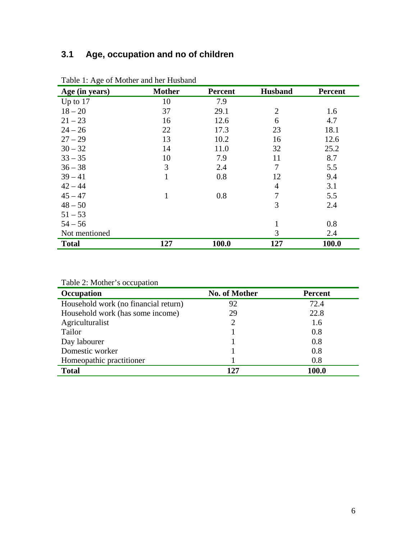# **3.1 Age, occupation and no of children**

| Tuble 1. 1150 of Mother and her Haspand<br>Age (in years) | <b>Mother</b> | <b>Percent</b> | <b>Husband</b> | <b>Percent</b> |
|-----------------------------------------------------------|---------------|----------------|----------------|----------------|
| Up to 17                                                  | 10            | 7.9            |                |                |
| $18 - 20$                                                 | 37            | 29.1           | $\overline{2}$ | 1.6            |
| $21 - 23$                                                 | 16            | 12.6           | 6              | 4.7            |
| $24 - 26$                                                 | 22            | 17.3           | 23             | 18.1           |
| $27 - 29$                                                 | 13            | 10.2           | 16             | 12.6           |
| $30 - 32$                                                 | 14            | 11.0           | 32             | 25.2           |
| $33 - 35$                                                 | 10            | 7.9            | 11             | 8.7            |
| $36 - 38$                                                 | 3             | 2.4            | $\overline{7}$ | 5.5            |
| $39 - 41$                                                 | $\mathbf{1}$  | 0.8            | 12             | 9.4            |
| $42 - 44$                                                 |               |                | $\overline{4}$ | 3.1            |
| $45 - 47$                                                 | $\mathbf{1}$  | 0.8            | 7              | 5.5            |
| $48 - 50$                                                 |               |                | 3              | 2.4            |
| $51 - 53$                                                 |               |                |                |                |
| $54 - 56$                                                 |               |                | 1              | 0.8            |
| Not mentioned                                             |               |                | 3              | 2.4            |
| <b>Total</b>                                              | 127           | 100.0          | 127            | 100.0          |

Table 1: Age of Mother and her Husband

|  |  | Table 2: Mother's occupation |
|--|--|------------------------------|
|--|--|------------------------------|

| Occupation                           | No. of Mother | <b>Percent</b> |
|--------------------------------------|---------------|----------------|
| Household work (no financial return) | 92            | 72.4           |
| Household work (has some income)     | 29            | 22.8           |
| Agriculturalist                      | 2             | 1.6            |
| Tailor                               |               | 0.8            |
| Day labourer                         |               | 0.8            |
| Domestic worker                      |               | 0.8            |
| Homeopathic practitioner             |               | 0.8            |
| <b>Total</b>                         | 127           | 100.0          |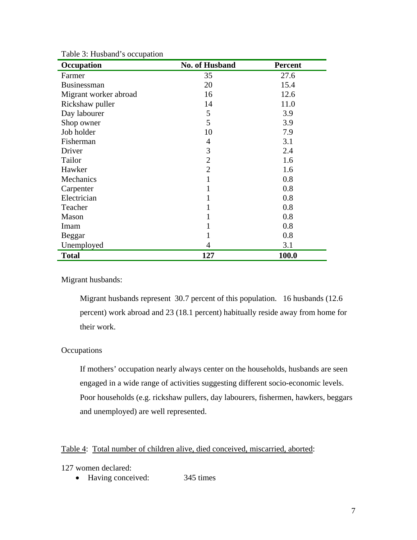| Occupation            | <b>No. of Husband</b> | <b>Percent</b> |
|-----------------------|-----------------------|----------------|
| Farmer                | 35                    | 27.6           |
| <b>Businessman</b>    | 20                    | 15.4           |
| Migrant worker abroad | 16                    | 12.6           |
| Rickshaw puller       | 14                    | 11.0           |
| Day labourer          | 5                     | 3.9            |
| Shop owner            | 5                     | 3.9            |
| Job holder            | 10                    | 7.9            |
| Fisherman             | 4                     | 3.1            |
| Driver                | 3                     | 2.4            |
| Tailor                | 2                     | 1.6            |
| Hawker                | $\overline{2}$        | 1.6            |
| Mechanics             | 1                     | 0.8            |
| Carpenter             | 1                     | 0.8            |
| Electrician           | 1                     | 0.8            |
| Teacher               | 1                     | 0.8            |
| Mason                 | 1                     | 0.8            |
| Imam                  |                       | 0.8            |
| Beggar                | 1                     | 0.8            |
| Unemployed            | 4                     | 3.1            |
| <b>Total</b>          | 127                   | 100.0          |

Table 3: Husband's occupation

#### Migrant husbands:

Migrant husbands represent 30.7 percent of this population. 16 husbands (12.6 percent) work abroad and 23 (18.1 percent) habitually reside away from home for their work.

### **Occupations**

If mothers' occupation nearly always center on the households, husbands are seen engaged in a wide range of activities suggesting different socio-economic levels. Poor households (e.g. rickshaw pullers, day labourers, fishermen, hawkers, beggars and unemployed) are well represented.

## Table 4: Total number of children alive, died conceived, miscarried, aborted:

127 women declared:

• Having conceived: 345 times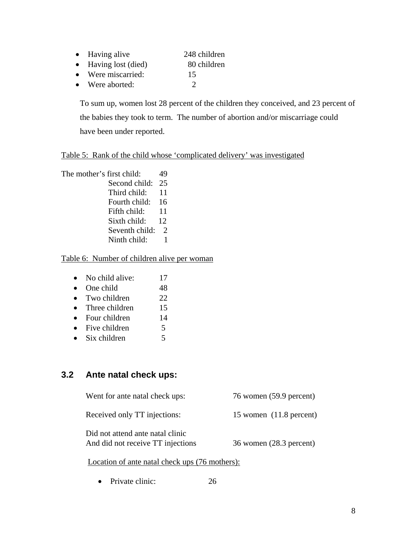- Having alive 248 children
- Having lost (died) 80 children
- Were miscarried: 15
- Were aborted: 2

To sum up, women lost 28 percent of the children they conceived, and 23 percent of the babies they took to term. The number of abortion and/or miscarriage could have been under reported.

## Table 5: Rank of the child whose 'complicated delivery' was investigated

The mother's first child: 49 Second child: 25 Third child: 11 Fourth child: 16 Fifth child: 11 Sixth child: 12 Seventh child: 2 Ninth child: 1

## Table 6: Number of children alive per woman

- No child alive: 17
- One child 48
- Two children 22
- Three children 15
- Four children 14
- Five children 5
- Six children 5

# **3.2 Ante natal check ups:**

Went for ante natal check ups:  $76$  women (59.9 percent)

Received only TT injections: 15 women (11.8 percent)

Did not attend ante natal clinic And did not receive TT injections 36 women (28.3 percent)

Location of ante natal check ups (76 mothers):

• Private clinic: 26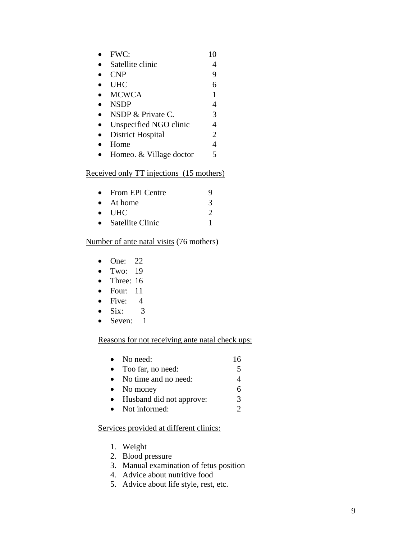| FWC:                    | 10 |
|-------------------------|----|
| Satellite clinic        |    |
| <b>CNP</b>              | 9  |
| <b>UHC</b>              |    |
| <b>MCWCA</b>            |    |
| <b>NSDP</b>             | 4  |
| NSDP & Private C.       | 3  |
| Unspecified NGO clinic  | 4  |
| District Hospital       | 2  |
| Home                    |    |
| Homeo. & Village doctor |    |

## Received only TT injections (15 mothers)

| $\bullet$ From EPI Centre | 9             |
|---------------------------|---------------|
| $\bullet$ At home         | $\mathcal{L}$ |
| $\bullet$ THC             |               |
| Satellite Clinic          |               |

## Number of ante natal visits (76 mothers)

- One: 22
- Two: 19
- Three: 16
- Four: 11
- Five: 4
- Six:  $3$
- Seven: 1

## Reasons for not receiving ante natal check ups:

|           | $\bullet$ No need:       |   |
|-----------|--------------------------|---|
| $\bullet$ | Too far, no need:        | 5 |
|           | No time and no need:     |   |
|           | $\bullet$ No money       |   |
|           | Husband did not approve: | 3 |
| $\bullet$ | Not informed:            |   |

## Services provided at different clinics:

- 1. Weight
- 2. Blood pressure
- 3. Manual examination of fetus position
- 4. Advice about nutritive food
- 5. Advice about life style, rest, etc.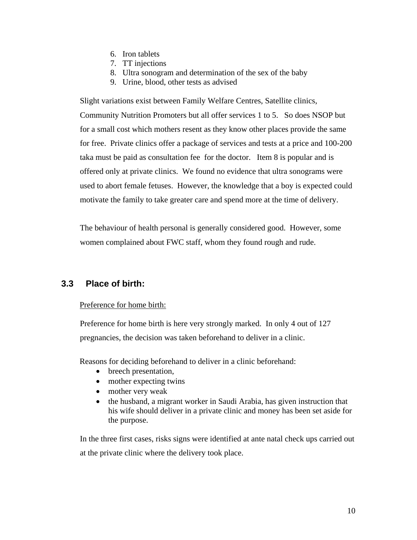- 6. Iron tablets
- 7. TT injections
- 8. Ultra sonogram and determination of the sex of the baby
- 9. Urine, blood, other tests as advised

Slight variations exist between Family Welfare Centres, Satellite clinics, Community Nutrition Promoters but all offer services 1 to 5. So does NSOP but for a small cost which mothers resent as they know other places provide the same for free. Private clinics offer a package of services and tests at a price and 100-200 taka must be paid as consultation fee for the doctor. Item 8 is popular and is offered only at private clinics. We found no evidence that ultra sonograms were used to abort female fetuses. However, the knowledge that a boy is expected could motivate the family to take greater care and spend more at the time of delivery.

The behaviour of health personal is generally considered good. However, some women complained about FWC staff, whom they found rough and rude.

# **3.3 Place of birth:**

### Preference for home birth:

Preference for home birth is here very strongly marked. In only 4 out of 127 pregnancies, the decision was taken beforehand to deliver in a clinic.

Reasons for deciding beforehand to deliver in a clinic beforehand:

- breech presentation,
- mother expecting twins
- mother very weak
- the husband, a migrant worker in Saudi Arabia, has given instruction that his wife should deliver in a private clinic and money has been set aside for the purpose.

In the three first cases, risks signs were identified at ante natal check ups carried out at the private clinic where the delivery took place.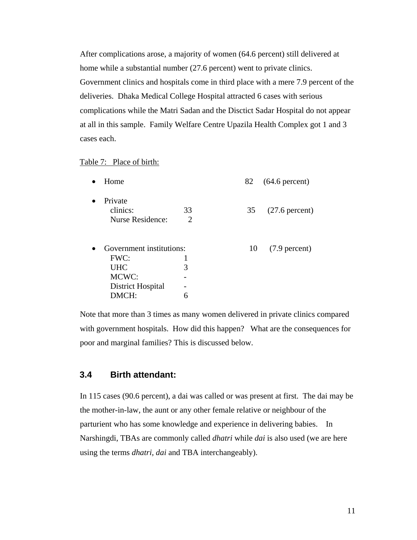After complications arose, a majority of women (64.6 percent) still delivered at home while a substantial number (27.6 percent) went to private clinics. Government clinics and hospitals come in third place with a mere 7.9 percent of the deliveries. Dhaka Medical College Hospital attracted 6 cases with serious complications while the Matri Sadan and the Disctict Sadar Hospital do not appear at all in this sample. Family Welfare Centre Upazila Health Complex got 1 and 3 cases each.

#### Table 7: Place of birth:

| Home                                    |         | 82 | $(64.6$ percent)         |
|-----------------------------------------|---------|----|--------------------------|
| Private<br>clinics:<br>Nurse Residence: | 33<br>2 | 35 | $(27.6 \text{ percent})$ |
| Government institutions:                |         | 10 | $(7.9$ percent)          |
| FWC:                                    |         |    |                          |
| <b>UHC</b>                              | 3       |    |                          |
| MCWC:                                   |         |    |                          |
| District Hospital                       |         |    |                          |
| DMCH:                                   | 6       |    |                          |

Note that more than 3 times as many women delivered in private clinics compared with government hospitals. How did this happen? What are the consequences for poor and marginal families? This is discussed below.

## **3.4 Birth attendant:**

In 115 cases (90.6 percent), a dai was called or was present at first. The dai may be the mother-in-law, the aunt or any other female relative or neighbour of the parturient who has some knowledge and experience in delivering babies. In Narshingdi, TBAs are commonly called *dhatri* while *dai* is also used (we are here using the terms *dhatri, dai* and TBA interchangeably).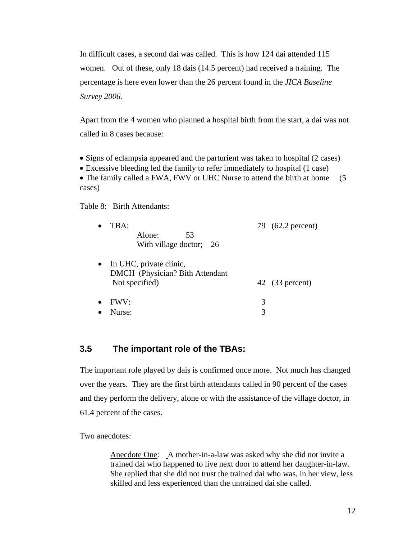In difficult cases, a second dai was called. This is how 124 dai attended 115 women. Out of these, only 18 dais (14.5 percent) had received a training. The percentage is here even lower than the 26 percent found in the *JICA Baseline Survey 2006.* 

Apart from the 4 women who planned a hospital birth from the start, a dai was not called in 8 cases because:

- Signs of eclampsia appeared and the parturient was taken to hospital (2 cases)
- Excessive bleeding led the family to refer immediately to hospital (1 case)

• The family called a FWA, FWV or UHC Nurse to attend the birth at home (5) cases)

### Table 8: Birth Attendants:

| TBA:<br>Alone:<br>53<br>With village doctor; 26                                |   | 79 (62.2 percent)  |
|--------------------------------------------------------------------------------|---|--------------------|
| • In UHC, private clinic,<br>DMCH (Physician? Bith Attendant<br>Not specified) |   | 42 $(33)$ percent) |
| FWV:                                                                           | 3 |                    |
| Nurse:                                                                         |   |                    |

# **3.5 The important role of the TBAs:**

The important role played by dais is confirmed once more. Not much has changed over the years. They are the first birth attendants called in 90 percent of the cases and they perform the delivery, alone or with the assistance of the village doctor, in 61.4 percent of the cases.

Two anecdotes:

Anecdote One: A mother-in-a-law was asked why she did not invite a trained dai who happened to live next door to attend her daughter-in-law. She replied that she did not trust the trained dai who was, in her view, less skilled and less experienced than the untrained dai she called.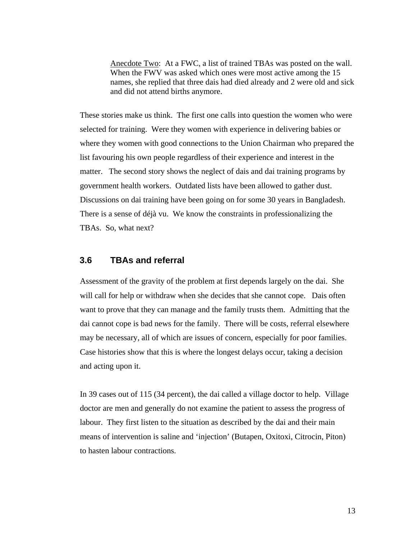Anecdote Two: At a FWC, a list of trained TBAs was posted on the wall. When the FWV was asked which ones were most active among the 15 names, she replied that three dais had died already and 2 were old and sick and did not attend births anymore.

These stories make us think. The first one calls into question the women who were selected for training. Were they women with experience in delivering babies or where they women with good connections to the Union Chairman who prepared the list favouring his own people regardless of their experience and interest in the matter. The second story shows the neglect of dais and dai training programs by government health workers. Outdated lists have been allowed to gather dust. Discussions on dai training have been going on for some 30 years in Bangladesh. There is a sense of déjà vu. We know the constraints in professionalizing the TBAs. So, what next?

## **3.6 TBAs and referral**

Assessment of the gravity of the problem at first depends largely on the dai. She will call for help or withdraw when she decides that she cannot cope. Dais often want to prove that they can manage and the family trusts them. Admitting that the dai cannot cope is bad news for the family. There will be costs, referral elsewhere may be necessary, all of which are issues of concern, especially for poor families. Case histories show that this is where the longest delays occur, taking a decision and acting upon it.

In 39 cases out of 115 (34 percent), the dai called a village doctor to help. Village doctor are men and generally do not examine the patient to assess the progress of labour. They first listen to the situation as described by the dai and their main means of intervention is saline and 'injection' (Butapen, Oxitoxi, Citrocin, Piton) to hasten labour contractions.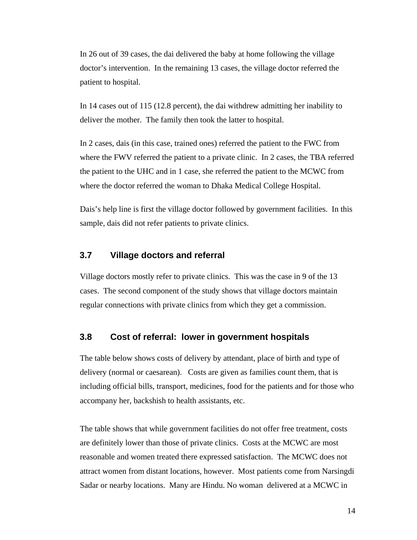In 26 out of 39 cases, the dai delivered the baby at home following the village doctor's intervention. In the remaining 13 cases, the village doctor referred the patient to hospital.

In 14 cases out of 115 (12.8 percent), the dai withdrew admitting her inability to deliver the mother. The family then took the latter to hospital.

In 2 cases, dais (in this case, trained ones) referred the patient to the FWC from where the FWV referred the patient to a private clinic. In 2 cases, the TBA referred the patient to the UHC and in 1 case, she referred the patient to the MCWC from where the doctor referred the woman to Dhaka Medical College Hospital.

Dais's help line is first the village doctor followed by government facilities. In this sample, dais did not refer patients to private clinics.

## **3.7 Village doctors and referral**

Village doctors mostly refer to private clinics. This was the case in 9 of the 13 cases. The second component of the study shows that village doctors maintain regular connections with private clinics from which they get a commission.

### **3.8 Cost of referral: lower in government hospitals**

The table below shows costs of delivery by attendant, place of birth and type of delivery (normal or caesarean). Costs are given as families count them, that is including official bills, transport, medicines, food for the patients and for those who accompany her, backshish to health assistants, etc.

The table shows that while government facilities do not offer free treatment, costs are definitely lower than those of private clinics. Costs at the MCWC are most reasonable and women treated there expressed satisfaction. The MCWC does not attract women from distant locations, however. Most patients come from Narsingdi Sadar or nearby locations. Many are Hindu. No woman delivered at a MCWC in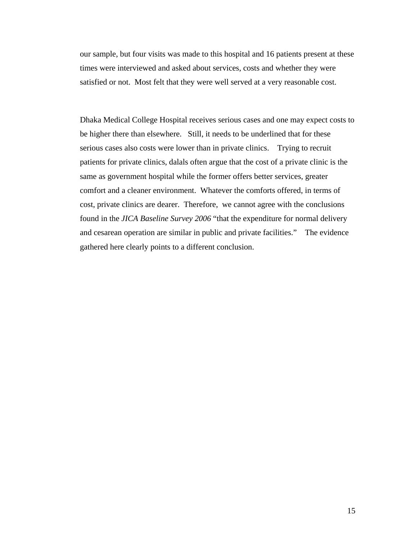our sample, but four visits was made to this hospital and 16 patients present at these times were interviewed and asked about services, costs and whether they were satisfied or not. Most felt that they were well served at a very reasonable cost.

Dhaka Medical College Hospital receives serious cases and one may expect costs to be higher there than elsewhere. Still, it needs to be underlined that for these serious cases also costs were lower than in private clinics. Trying to recruit patients for private clinics, dalals often argue that the cost of a private clinic is the same as government hospital while the former offers better services, greater comfort and a cleaner environment. Whatever the comforts offered, in terms of cost, private clinics are dearer. Therefore, we cannot agree with the conclusions found in the *JICA Baseline Survey 2006* "that the expenditure for normal delivery and cesarean operation are similar in public and private facilities." The evidence gathered here clearly points to a different conclusion.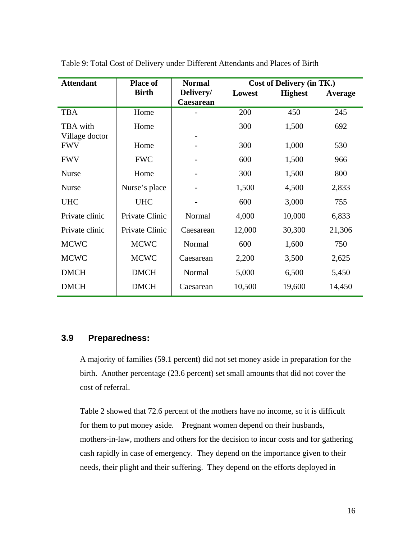| <b>Attendant</b> | <b>Place of</b> | <b>Normal</b> | Cost of Delivery (in TK.) |                |         |
|------------------|-----------------|---------------|---------------------------|----------------|---------|
|                  | <b>Birth</b>    | Delivery/     | Lowest                    | <b>Highest</b> | Average |
|                  |                 | Caesarean     |                           |                |         |
| <b>TBA</b>       | Home            |               | 200                       | 450            | 245     |
| TBA with         | Home            |               | 300                       | 1,500          | 692     |
| Village doctor   |                 |               |                           |                |         |
| <b>FWV</b>       | Home            |               | 300                       | 1,000          | 530     |
| <b>FWV</b>       | <b>FWC</b>      |               | 600                       | 1,500          | 966     |
| <b>Nurse</b>     | Home            |               | 300                       | 1,500          | 800     |
| <b>Nurse</b>     | Nurse's place   |               | 1,500                     | 4,500          | 2,833   |
| <b>UHC</b>       | <b>UHC</b>      |               | 600                       | 3,000          | 755     |
| Private clinic   | Private Clinic  | Normal        | 4,000                     | 10,000         | 6,833   |
| Private clinic   | Private Clinic  | Caesarean     | 12,000                    | 30,300         | 21,306  |
| <b>MCWC</b>      | <b>MCWC</b>     | Normal        | 600                       | 1,600          | 750     |
| <b>MCWC</b>      | <b>MCWC</b>     | Caesarean     | 2,200                     | 3,500          | 2,625   |
| <b>DMCH</b>      | <b>DMCH</b>     | Normal        | 5,000                     | 6,500          | 5,450   |
| <b>DMCH</b>      | <b>DMCH</b>     | Caesarean     | 10,500                    | 19,600         | 14,450  |

Table 9: Total Cost of Delivery under Different Attendants and Places of Birth

## **3.9 Preparedness:**

A majority of families (59.1 percent) did not set money aside in preparation for the birth. Another percentage (23.6 percent) set small amounts that did not cover the cost of referral.

Table 2 showed that 72.6 percent of the mothers have no income, so it is difficult for them to put money aside. Pregnant women depend on their husbands, mothers-in-law, mothers and others for the decision to incur costs and for gathering cash rapidly in case of emergency. They depend on the importance given to their needs, their plight and their suffering. They depend on the efforts deployed in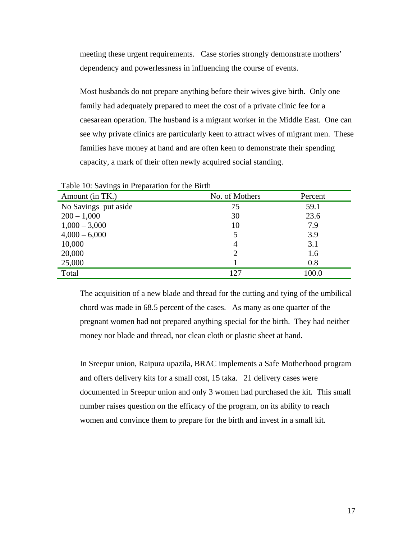meeting these urgent requirements. Case stories strongly demonstrate mothers' dependency and powerlessness in influencing the course of events.

Most husbands do not prepare anything before their wives give birth. Only one family had adequately prepared to meet the cost of a private clinic fee for a caesarean operation. The husband is a migrant worker in the Middle East. One can see why private clinics are particularly keen to attract wives of migrant men. These families have money at hand and are often keen to demonstrate their spending capacity, a mark of their often newly acquired social standing.

| Table TV. Savings in Freparation for the Birth |                |         |  |  |
|------------------------------------------------|----------------|---------|--|--|
| Amount (in TK.)                                | No. of Mothers | Percent |  |  |
| No Savings put aside                           | 75             | 59.1    |  |  |
| $200 - 1,000$                                  | 30             | 23.6    |  |  |
| $1,000 - 3,000$                                | 10             | 7.9     |  |  |
| $4,000 - 6,000$                                |                | 3.9     |  |  |
| 10,000                                         | 4              | 3.1     |  |  |
| 20,000                                         |                | 1.6     |  |  |
| 25,000                                         |                | 0.8     |  |  |
| Total                                          | 127            | 100.0   |  |  |

Table 10: Savings in Preparation for the Birth

The acquisition of a new blade and thread for the cutting and tying of the umbilical chord was made in 68.5 percent of the cases. As many as one quarter of the pregnant women had not prepared anything special for the birth. They had neither money nor blade and thread, nor clean cloth or plastic sheet at hand.

In Sreepur union, Raipura upazila, BRAC implements a Safe Motherhood program and offers delivery kits for a small cost, 15 taka. 21 delivery cases were documented in Sreepur union and only 3 women had purchased the kit. This small number raises question on the efficacy of the program, on its ability to reach women and convince them to prepare for the birth and invest in a small kit.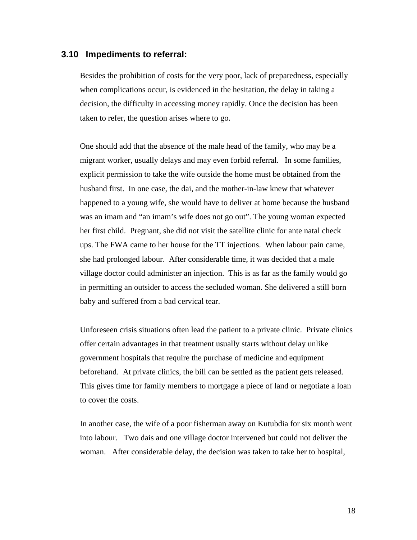#### **3.10 Impediments to referral:**

Besides the prohibition of costs for the very poor, lack of preparedness, especially when complications occur, is evidenced in the hesitation, the delay in taking a decision, the difficulty in accessing money rapidly. Once the decision has been taken to refer, the question arises where to go.

One should add that the absence of the male head of the family, who may be a migrant worker, usually delays and may even forbid referral. In some families, explicit permission to take the wife outside the home must be obtained from the husband first. In one case, the dai, and the mother-in-law knew that whatever happened to a young wife, she would have to deliver at home because the husband was an imam and "an imam's wife does not go out". The young woman expected her first child. Pregnant, she did not visit the satellite clinic for ante natal check ups. The FWA came to her house for the TT injections. When labour pain came, she had prolonged labour. After considerable time, it was decided that a male village doctor could administer an injection. This is as far as the family would go in permitting an outsider to access the secluded woman. She delivered a still born baby and suffered from a bad cervical tear.

Unforeseen crisis situations often lead the patient to a private clinic. Private clinics offer certain advantages in that treatment usually starts without delay unlike government hospitals that require the purchase of medicine and equipment beforehand. At private clinics, the bill can be settled as the patient gets released. This gives time for family members to mortgage a piece of land or negotiate a loan to cover the costs.

In another case, the wife of a poor fisherman away on Kutubdia for six month went into labour. Two dais and one village doctor intervened but could not deliver the woman. After considerable delay, the decision was taken to take her to hospital,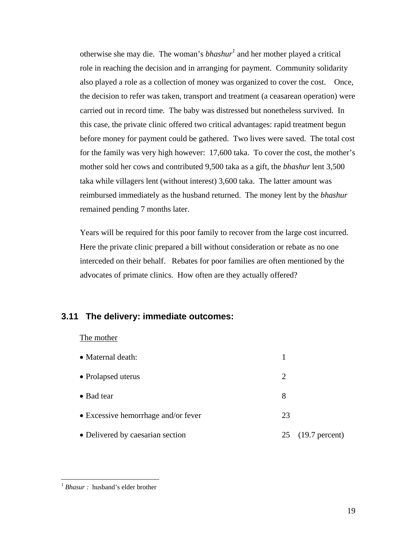otherwise she may die. The woman's *bhashur<sup>1</sup>* and her mother played a critical role in reaching the decision and in arranging for payment. Community solidarity also played a role as a collection of money was organized to cover the cost. Once, the decision to refer was taken, transport and treatment (a ceasarean operation) were carried out in record time. The baby was distressed but nonetheless survived. In this case, the private clinic offered two critical advantages: rapid treatment begun before money for payment could be gathered. Two lives were saved. The total cost for the family was very high however: 17,600 taka. To cover the cost, the mother's mother sold her cows and contributed 9,500 taka as a gift, the *bhashur* lent 3,500 taka while villagers lent (without interest) 3,600 taka. The latter amount was reimbursed immediately as the husband returned. The money lent by the *bhashur*  remained pending 7 months later.

Years will be required for this poor family to recover from the large cost incurred. Here the private clinic prepared a bill without consideration or rebate as no one interceded on their behalf. Rebates for poor families are often mentioned by the advocates of primate clinics. How often are they actually offered?

## **3.11 The delivery: immediate outcomes:**

#### The mother

| • Maternal death:                   |    |                   |
|-------------------------------------|----|-------------------|
| • Prolapsed uterus                  | 2  |                   |
| • Bad tear                          | 8  |                   |
| • Excessive hemorrhage and/or fever | 23 |                   |
| • Delivered by caesarian section    |    | 25 (19.7 percent) |

 $\overline{a}$ 

<span id="page-18-0"></span><sup>&</sup>lt;sup>1</sup> *Bhasur* : husband's elder brother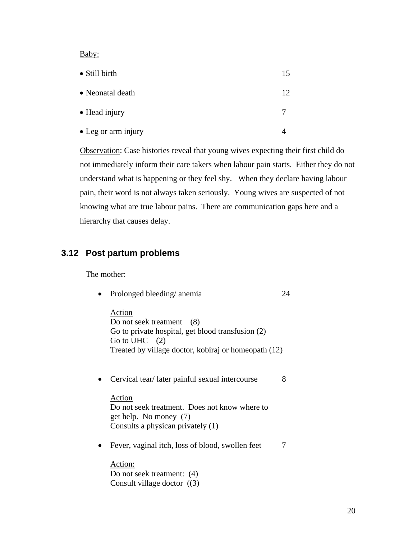Baby:

| • Still birth       | 15 |
|---------------------|----|
| • Neonatal death    | 12 |
| • Head injury       |    |
| • Leg or arm injury |    |

Observation: Case histories reveal that young wives expecting their first child do not immediately inform their care takers when labour pain starts. Either they do not understand what is happening or they feel shy. When they declare having labour pain, their word is not always taken seriously. Young wives are suspected of not knowing what are true labour pains. There are communication gaps here and a hierarchy that causes delay.

### **3.12 Post partum problems**

### The mother:

• Prolonged bleeding/ anemia 24

Action Do not seek treatment (8) Go to private hospital, get blood transfusion (2) Go to UHC  $(2)$ Treated by village doctor, kobiraj or homeopath (12)

• Cervical tear/later painful sexual intercourse 8

Action Do not seek treatment. Does not know where to get help. No money (7) Consults a physican privately (1)

• Fever, vaginal itch, loss of blood, swollen feet 7

Action: Do not seek treatment: (4) Consult village doctor ((3)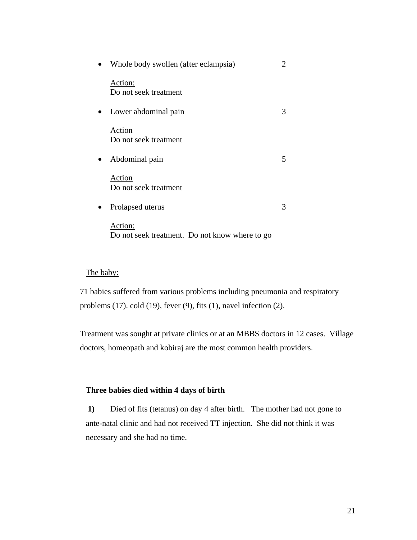| $\bullet$ | Whole body swollen (after eclampsia)                      | 2 |
|-----------|-----------------------------------------------------------|---|
|           | Action:<br>Do not seek treatment                          |   |
| $\bullet$ | Lower abdominal pain                                      | 3 |
|           | Action<br>Do not seek treatment                           |   |
| $\bullet$ | Abdominal pain                                            | 5 |
|           | Action<br>Do not seek treatment                           |   |
| $\bullet$ | Prolapsed uterus                                          | 3 |
|           | Action:<br>Do not seek treatment. Do not know where to go |   |

#### The baby:

71 babies suffered from various problems including pneumonia and respiratory problems (17). cold (19), fever (9), fits (1), navel infection (2).

Treatment was sought at private clinics or at an MBBS doctors in 12 cases. Village doctors, homeopath and kobiraj are the most common health providers.

#### **Three babies died within 4 days of birth**

 **1)** Died of fits (tetanus) on day 4 after birth. The mother had not gone to ante-natal clinic and had not received TT injection. She did not think it was necessary and she had no time.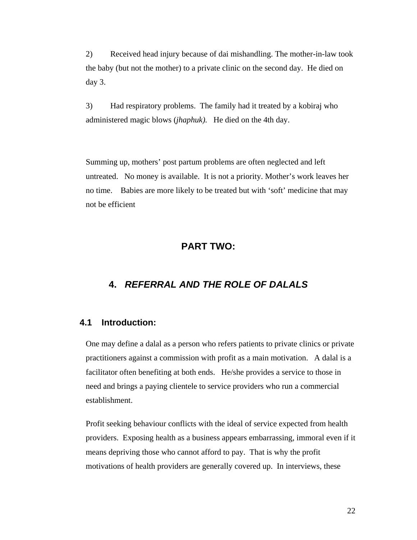2) Received head injury because of dai mishandling. The mother-in-law took the baby (but not the mother) to a private clinic on the second day. He died on day 3.

3) Had respiratory problems. The family had it treated by a kobiraj who administered magic blows (*jhaphuk).* He died on the 4th day.

Summing up, mothers' post partum problems are often neglected and left untreated. No money is available. It is not a priority. Mother's work leaves her no time. Babies are more likely to be treated but with 'soft' medicine that may not be efficient

## **PART TWO:**

# **4.** *REFERRAL AND THE ROLE OF DALALS*

## **4.1 Introduction:**

One may define a dalal as a person who refers patients to private clinics or private practitioners against a commission with profit as a main motivation. A dalal is a facilitator often benefiting at both ends. He/she provides a service to those in need and brings a paying clientele to service providers who run a commercial establishment.

Profit seeking behaviour conflicts with the ideal of service expected from health providers. Exposing health as a business appears embarrassing, immoral even if it means depriving those who cannot afford to pay. That is why the profit motivations of health providers are generally covered up. In interviews, these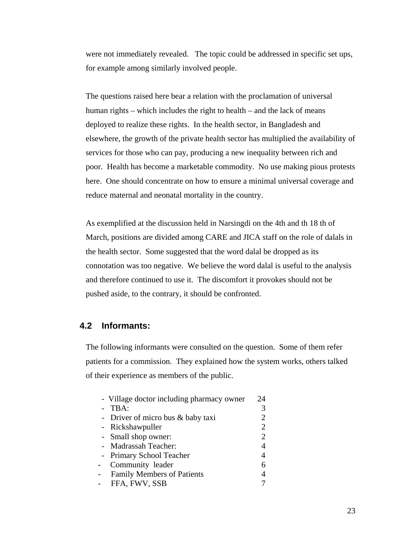were not immediately revealed. The topic could be addressed in specific set ups, for example among similarly involved people.

The questions raised here bear a relation with the proclamation of universal human rights – which includes the right to health – and the lack of means deployed to realize these rights. In the health sector, in Bangladesh and elsewhere, the growth of the private health sector has multiplied the availability of services for those who can pay, producing a new inequality between rich and poor. Health has become a marketable commodity. No use making pious protests here. One should concentrate on how to ensure a minimal universal coverage and reduce maternal and neonatal mortality in the country.

As exemplified at the discussion held in Narsingdi on the 4th and th 18 th of March, positions are divided among CARE and JICA staff on the role of dalals in the health sector. Some suggested that the word dalal be dropped as its connotation was too negative. We believe the word dalal is useful to the analysis and therefore continued to use it. The discomfort it provokes should not be pushed aside, to the contrary, it should be confronted.

### **4.2 Informants:**

The following informants were consulted on the question. Some of them refer patients for a commission. They explained how the system works, others talked of their experience as members of the public.

|                | - Village doctor including pharmacy owner | 24             |
|----------------|-------------------------------------------|----------------|
|                | TBA:                                      | 3              |
|                | - Driver of micro bus $&$ baby taxi       | 2              |
|                | - Rickshawpuller                          | 2              |
|                | - Small shop owner:                       | $\overline{2}$ |
|                | - Madrassah Teacher:                      | 4              |
|                | - Primary School Teacher                  | 4              |
| $\overline{a}$ | Community leader                          | 6              |
| $\overline{a}$ | <b>Family Members of Patients</b>         | 4              |
| $\overline{a}$ | FFA, FWV, SSB                             |                |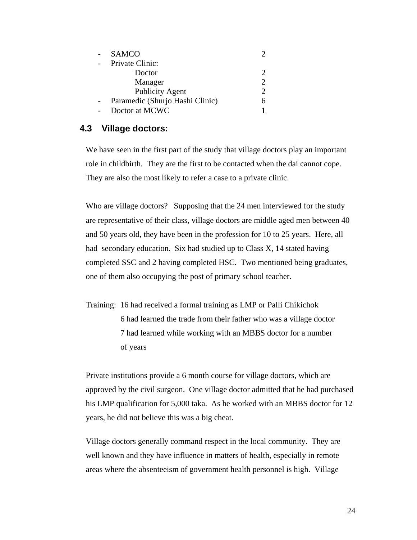| <b>SAMCO</b>                    |   |
|---------------------------------|---|
| Private Clinic:                 |   |
| Doctor                          |   |
| Manager                         | っ |
| <b>Publicity Agent</b>          |   |
| Paramedic (Shurjo Hashi Clinic) |   |
| Doctor at MCWC                  |   |

# **4.3 Village doctors:**

We have seen in the first part of the study that village doctors play an important role in childbirth. They are the first to be contacted when the dai cannot cope. They are also the most likely to refer a case to a private clinic.

Who are village doctors? Supposing that the 24 men interviewed for the study are representative of their class, village doctors are middle aged men between 40 and 50 years old, they have been in the profession for 10 to 25 years. Here, all had secondary education. Six had studied up to Class X, 14 stated having completed SSC and 2 having completed HSC. Two mentioned being graduates, one of them also occupying the post of primary school teacher.

Training: 16 had received a formal training as LMP or Palli Chikichok 6 had learned the trade from their father who was a village doctor 7 had learned while working with an MBBS doctor for a number of years

Private institutions provide a 6 month course for village doctors, which are approved by the civil surgeon. One village doctor admitted that he had purchased his LMP qualification for 5,000 taka. As he worked with an MBBS doctor for 12 years, he did not believe this was a big cheat.

Village doctors generally command respect in the local community. They are well known and they have influence in matters of health, especially in remote areas where the absenteeism of government health personnel is high. Village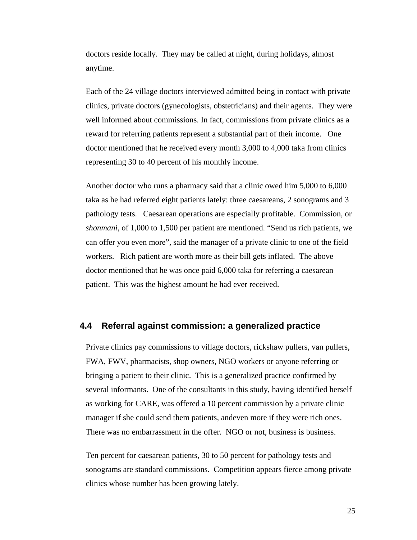doctors reside locally. They may be called at night, during holidays, almost anytime.

Each of the 24 village doctors interviewed admitted being in contact with private clinics, private doctors (gynecologists, obstetricians) and their agents. They were well informed about commissions. In fact, commissions from private clinics as a reward for referring patients represent a substantial part of their income. One doctor mentioned that he received every month 3,000 to 4,000 taka from clinics representing 30 to 40 percent of his monthly income.

Another doctor who runs a pharmacy said that a clinic owed him 5,000 to 6,000 taka as he had referred eight patients lately: three caesareans, 2 sonograms and 3 pathology tests. Caesarean operations are especially profitable. Commission, or *shonmani*, of 1,000 to 1,500 per patient are mentioned. "Send us rich patients, we can offer you even more", said the manager of a private clinic to one of the field workers. Rich patient are worth more as their bill gets inflated. The above doctor mentioned that he was once paid 6,000 taka for referring a caesarean patient. This was the highest amount he had ever received.

### **4.4 Referral against commission: a generalized practice**

Private clinics pay commissions to village doctors, rickshaw pullers, van pullers, FWA, FWV, pharmacists, shop owners, NGO workers or anyone referring or bringing a patient to their clinic. This is a generalized practice confirmed by several informants. One of the consultants in this study, having identified herself as working for CARE, was offered a 10 percent commission by a private clinic manager if she could send them patients, andeven more if they were rich ones. There was no embarrassment in the offer. NGO or not, business is business.

Ten percent for caesarean patients, 30 to 50 percent for pathology tests and sonograms are standard commissions. Competition appears fierce among private clinics whose number has been growing lately.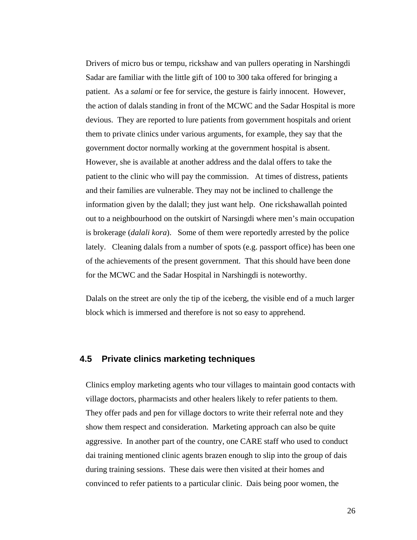Drivers of micro bus or tempu, rickshaw and van pullers operating in Narshingdi Sadar are familiar with the little gift of 100 to 300 taka offered for bringing a patient. As a *salami* or fee for service, the gesture is fairly innocent. However, the action of dalals standing in front of the MCWC and the Sadar Hospital is more devious. They are reported to lure patients from government hospitals and orient them to private clinics under various arguments, for example, they say that the government doctor normally working at the government hospital is absent. However, she is available at another address and the dalal offers to take the patient to the clinic who will pay the commission. At times of distress, patients and their families are vulnerable. They may not be inclined to challenge the information given by the dalall; they just want help. One rickshawallah pointed out to a neighbourhood on the outskirt of Narsingdi where men's main occupation is brokerage (*dalali kora*). Some of them were reportedly arrested by the police lately. Cleaning dalals from a number of spots (e.g. passport office) has been one of the achievements of the present government. That this should have been done for the MCWC and the Sadar Hospital in Narshingdi is noteworthy.

Dalals on the street are only the tip of the iceberg, the visible end of a much larger block which is immersed and therefore is not so easy to apprehend.

### **4.5 Private clinics marketing techniques**

Clinics employ marketing agents who tour villages to maintain good contacts with village doctors, pharmacists and other healers likely to refer patients to them. They offer pads and pen for village doctors to write their referral note and they show them respect and consideration. Marketing approach can also be quite aggressive. In another part of the country, one CARE staff who used to conduct dai training mentioned clinic agents brazen enough to slip into the group of dais during training sessions. These dais were then visited at their homes and convinced to refer patients to a particular clinic. Dais being poor women, the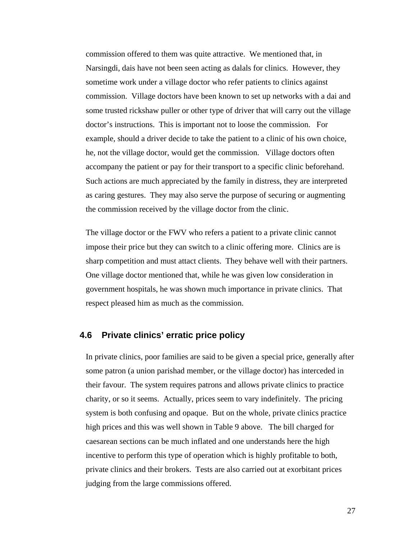commission offered to them was quite attractive. We mentioned that, in Narsingdi, dais have not been seen acting as dalals for clinics. However, they sometime work under a village doctor who refer patients to clinics against commission. Village doctors have been known to set up networks with a dai and some trusted rickshaw puller or other type of driver that will carry out the village doctor's instructions. This is important not to loose the commission. For example, should a driver decide to take the patient to a clinic of his own choice, he, not the village doctor, would get the commission. Village doctors often accompany the patient or pay for their transport to a specific clinic beforehand. Such actions are much appreciated by the family in distress, they are interpreted as caring gestures. They may also serve the purpose of securing or augmenting the commission received by the village doctor from the clinic.

The village doctor or the FWV who refers a patient to a private clinic cannot impose their price but they can switch to a clinic offering more. Clinics are is sharp competition and must attact clients. They behave well with their partners. One village doctor mentioned that, while he was given low consideration in government hospitals, he was shown much importance in private clinics. That respect pleased him as much as the commission.

### **4.6 Private clinics' erratic price policy**

In private clinics, poor families are said to be given a special price, generally after some patron (a union parishad member, or the village doctor) has interceded in their favour. The system requires patrons and allows private clinics to practice charity, or so it seems. Actually, prices seem to vary indefinitely. The pricing system is both confusing and opaque. But on the whole, private clinics practice high prices and this was well shown in Table 9 above. The bill charged for caesarean sections can be much inflated and one understands here the high incentive to perform this type of operation which is highly profitable to both, private clinics and their brokers. Tests are also carried out at exorbitant prices judging from the large commissions offered.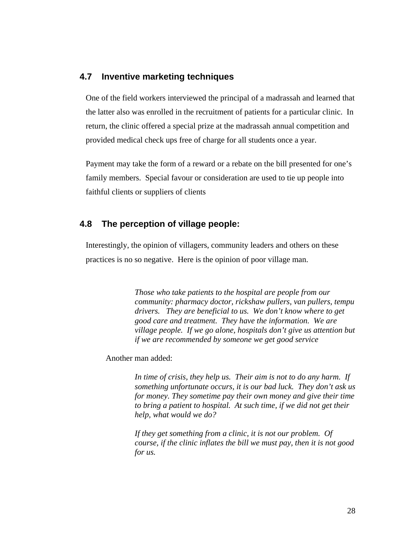## **4.7 Inventive marketing techniques**

One of the field workers interviewed the principal of a madrassah and learned that the latter also was enrolled in the recruitment of patients for a particular clinic. In return, the clinic offered a special prize at the madrassah annual competition and provided medical check ups free of charge for all students once a year.

Payment may take the form of a reward or a rebate on the bill presented for one's family members. Special favour or consideration are used to tie up people into faithful clients or suppliers of clients

## **4.8 The perception of village people:**

Interestingly, the opinion of villagers, community leaders and others on these practices is no so negative. Here is the opinion of poor village man.

> *Those who take patients to the hospital are people from our community: pharmacy doctor, rickshaw pullers, van pullers, tempu drivers. They are beneficial to us. We don't know where to get good care and treatment. They have the information. We are village people. If we go alone, hospitals don't give us attention but if we are recommended by someone we get good service*

Another man added:

*In time of crisis, they help us. Their aim is not to do any harm. If something unfortunate occurs, it is our bad luck. They don't ask us for money. They sometime pay their own money and give their time to bring a patient to hospital. At such time, if we did not get their help, what would we do?* 

*If they get something from a clinic, it is not our problem. Of course, if the clinic inflates the bill we must pay, then it is not good for us.*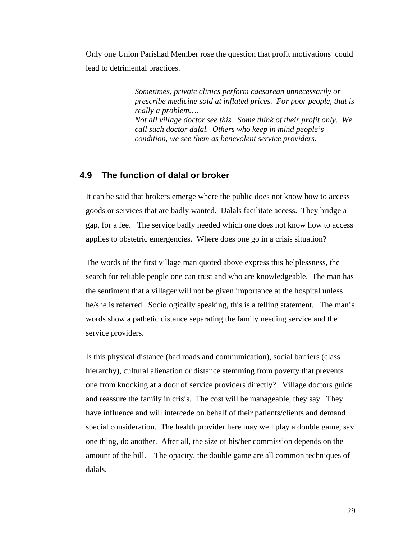Only one Union Parishad Member rose the question that profit motivations could lead to detrimental practices.

> *Sometimes, private clinics perform caesarean unnecessarily or prescribe medicine sold at inflated prices. For poor people, that is really a problem…. Not all village doctor see this. Some think of their profit only. We call such doctor dalal. Others who keep in mind people's condition, we see them as benevolent service providers.*

### **4.9 The function of dalal or broker**

It can be said that brokers emerge where the public does not know how to access goods or services that are badly wanted. Dalals facilitate access. They bridge a gap, for a fee. The service badly needed which one does not know how to access applies to obstetric emergencies. Where does one go in a crisis situation?

The words of the first village man quoted above express this helplessness, the search for reliable people one can trust and who are knowledgeable. The man has the sentiment that a villager will not be given importance at the hospital unless he/she is referred. Sociologically speaking, this is a telling statement. The man's words show a pathetic distance separating the family needing service and the service providers.

Is this physical distance (bad roads and communication), social barriers (class hierarchy), cultural alienation or distance stemming from poverty that prevents one from knocking at a door of service providers directly? Village doctors guide and reassure the family in crisis. The cost will be manageable, they say. They have influence and will intercede on behalf of their patients/clients and demand special consideration. The health provider here may well play a double game, say one thing, do another. After all, the size of his/her commission depends on the amount of the bill. The opacity, the double game are all common techniques of dalals.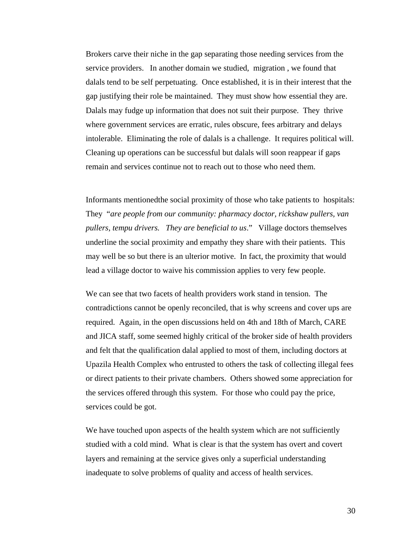Brokers carve their niche in the gap separating those needing services from the service providers. In another domain we studied, migration , we found that dalals tend to be self perpetuating. Once established, it is in their interest that the gap justifying their role be maintained. They must show how essential they are. Dalals may fudge up information that does not suit their purpose. They thrive where government services are erratic, rules obscure, fees arbitrary and delays intolerable. Eliminating the role of dalals is a challenge. It requires political will. Cleaning up operations can be successful but dalals will soon reappear if gaps remain and services continue not to reach out to those who need them.

Informants mentionedthe social proximity of those who take patients to hospitals: They "*are people from our community: pharmacy doctor, rickshaw pullers, van pullers, tempu drivers. They are beneficial to us*." Village doctors themselves underline the social proximity and empathy they share with their patients. This may well be so but there is an ulterior motive. In fact, the proximity that would lead a village doctor to waive his commission applies to very few people.

We can see that two facets of health providers work stand in tension. The contradictions cannot be openly reconciled, that is why screens and cover ups are required. Again, in the open discussions held on 4th and 18th of March, CARE and JICA staff, some seemed highly critical of the broker side of health providers and felt that the qualification dalal applied to most of them, including doctors at Upazila Health Complex who entrusted to others the task of collecting illegal fees or direct patients to their private chambers. Others showed some appreciation for the services offered through this system. For those who could pay the price, services could be got.

We have touched upon aspects of the health system which are not sufficiently studied with a cold mind. What is clear is that the system has overt and covert layers and remaining at the service gives only a superficial understanding inadequate to solve problems of quality and access of health services.

30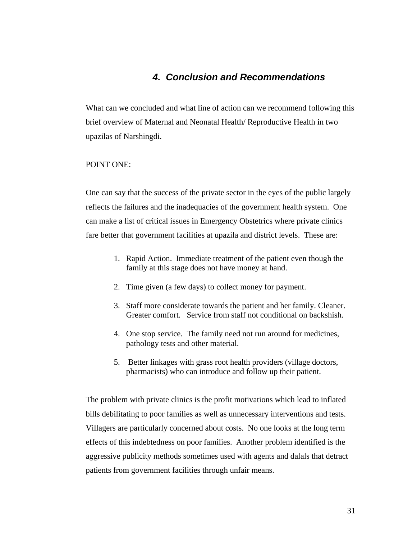# *4. Conclusion and Recommendations*

What can we concluded and what line of action can we recommend following this brief overview of Maternal and Neonatal Health/ Reproductive Health in two upazilas of Narshingdi.

#### POINT ONE:

One can say that the success of the private sector in the eyes of the public largely reflects the failures and the inadequacies of the government health system. One can make a list of critical issues in Emergency Obstetrics where private clinics fare better that government facilities at upazila and district levels. These are:

- 1. Rapid Action. Immediate treatment of the patient even though the family at this stage does not have money at hand.
- 2. Time given (a few days) to collect money for payment.
- 3. Staff more considerate towards the patient and her family. Cleaner. Greater comfort. Service from staff not conditional on backshish.
- 4. One stop service. The family need not run around for medicines, pathology tests and other material.
- 5. Better linkages with grass root health providers (village doctors, pharmacists) who can introduce and follow up their patient.

The problem with private clinics is the profit motivations which lead to inflated bills debilitating to poor families as well as unnecessary interventions and tests. Villagers are particularly concerned about costs. No one looks at the long term effects of this indebtedness on poor families. Another problem identified is the aggressive publicity methods sometimes used with agents and dalals that detract patients from government facilities through unfair means.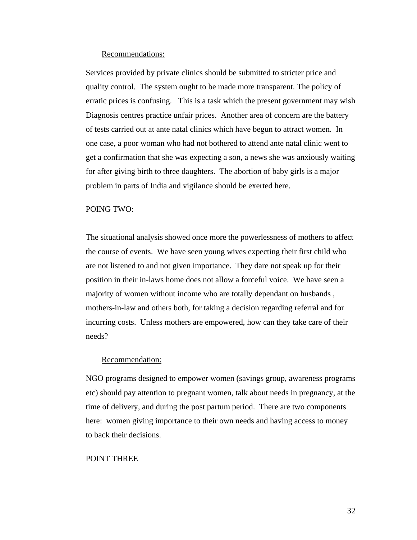#### Recommendations:

Services provided by private clinics should be submitted to stricter price and quality control. The system ought to be made more transparent. The policy of erratic prices is confusing. This is a task which the present government may wish Diagnosis centres practice unfair prices. Another area of concern are the battery of tests carried out at ante natal clinics which have begun to attract women. In one case, a poor woman who had not bothered to attend ante natal clinic went to get a confirmation that she was expecting a son, a news she was anxiously waiting for after giving birth to three daughters. The abortion of baby girls is a major problem in parts of India and vigilance should be exerted here.

#### POING TWO:

The situational analysis showed once more the powerlessness of mothers to affect the course of events. We have seen young wives expecting their first child who are not listened to and not given importance. They dare not speak up for their position in their in-laws home does not allow a forceful voice. We have seen a majority of women without income who are totally dependant on husbands , mothers-in-law and others both, for taking a decision regarding referral and for incurring costs. Unless mothers are empowered, how can they take care of their needs?

#### Recommendation:

NGO programs designed to empower women (savings group, awareness programs etc) should pay attention to pregnant women, talk about needs in pregnancy, at the time of delivery, and during the post partum period. There are two components here: women giving importance to their own needs and having access to money to back their decisions.

#### POINT THREE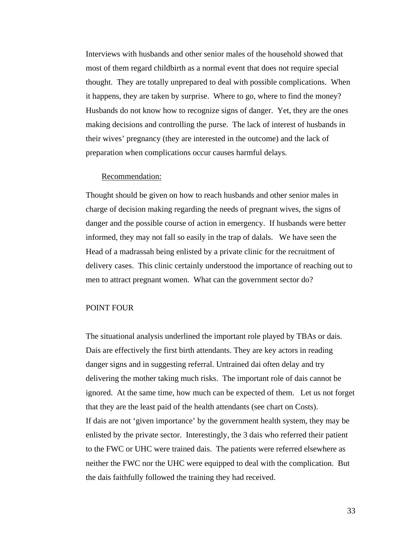Interviews with husbands and other senior males of the household showed that most of them regard childbirth as a normal event that does not require special thought. They are totally unprepared to deal with possible complications. When it happens, they are taken by surprise. Where to go, where to find the money? Husbands do not know how to recognize signs of danger. Yet, they are the ones making decisions and controlling the purse. The lack of interest of husbands in their wives' pregnancy (they are interested in the outcome) and the lack of preparation when complications occur causes harmful delays.

#### Recommendation:

Thought should be given on how to reach husbands and other senior males in charge of decision making regarding the needs of pregnant wives, the signs of danger and the possible course of action in emergency. If husbands were better informed, they may not fall so easily in the trap of dalals. We have seen the Head of a madrassah being enlisted by a private clinic for the recruitment of delivery cases. This clinic certainly understood the importance of reaching out to men to attract pregnant women. What can the government sector do?

#### POINT FOUR

The situational analysis underlined the important role played by TBAs or dais. Dais are effectively the first birth attendants. They are key actors in reading danger signs and in suggesting referral. Untrained dai often delay and try delivering the mother taking much risks. The important role of dais cannot be ignored. At the same time, how much can be expected of them. Let us not forget that they are the least paid of the health attendants (see chart on Costs). If dais are not 'given importance' by the government health system, they may be enlisted by the private sector. Interestingly, the 3 dais who referred their patient to the FWC or UHC were trained dais. The patients were referred elsewhere as neither the FWC nor the UHC were equipped to deal with the complication. But the dais faithfully followed the training they had received.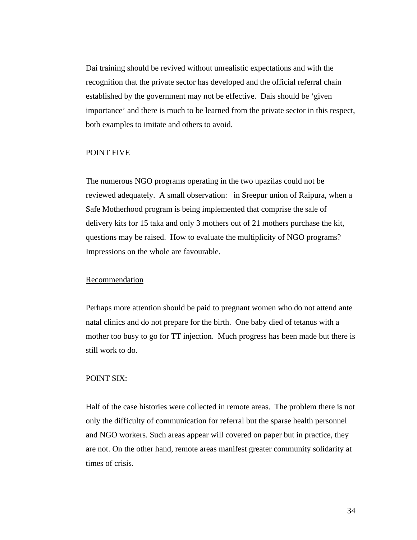Dai training should be revived without unrealistic expectations and with the recognition that the private sector has developed and the official referral chain established by the government may not be effective. Dais should be 'given importance' and there is much to be learned from the private sector in this respect, both examples to imitate and others to avoid.

#### POINT FIVE

The numerous NGO programs operating in the two upazilas could not be reviewed adequately. A small observation: in Sreepur union of Raipura, when a Safe Motherhood program is being implemented that comprise the sale of delivery kits for 15 taka and only 3 mothers out of 21 mothers purchase the kit, questions may be raised. How to evaluate the multiplicity of NGO programs? Impressions on the whole are favourable.

#### Recommendation

Perhaps more attention should be paid to pregnant women who do not attend ante natal clinics and do not prepare for the birth. One baby died of tetanus with a mother too busy to go for TT injection. Much progress has been made but there is still work to do.

#### POINT SIX:

Half of the case histories were collected in remote areas. The problem there is not only the difficulty of communication for referral but the sparse health personnel and NGO workers. Such areas appear will covered on paper but in practice, they are not. On the other hand, remote areas manifest greater community solidarity at times of crisis.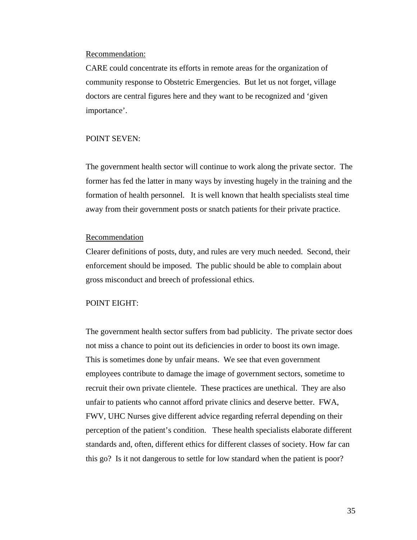#### Recommendation:

CARE could concentrate its efforts in remote areas for the organization of community response to Obstetric Emergencies. But let us not forget, village doctors are central figures here and they want to be recognized and 'given importance'.

#### POINT SEVEN:

The government health sector will continue to work along the private sector. The former has fed the latter in many ways by investing hugely in the training and the formation of health personnel. It is well known that health specialists steal time away from their government posts or snatch patients for their private practice.

#### Recommendation

Clearer definitions of posts, duty, and rules are very much needed. Second, their enforcement should be imposed. The public should be able to complain about gross misconduct and breech of professional ethics.

#### POINT EIGHT:

The government health sector suffers from bad publicity. The private sector does not miss a chance to point out its deficiencies in order to boost its own image. This is sometimes done by unfair means. We see that even government employees contribute to damage the image of government sectors, sometime to recruit their own private clientele. These practices are unethical. They are also unfair to patients who cannot afford private clinics and deserve better. FWA, FWV, UHC Nurses give different advice regarding referral depending on their perception of the patient's condition. These health specialists elaborate different standards and, often, different ethics for different classes of society. How far can this go? Is it not dangerous to settle for low standard when the patient is poor?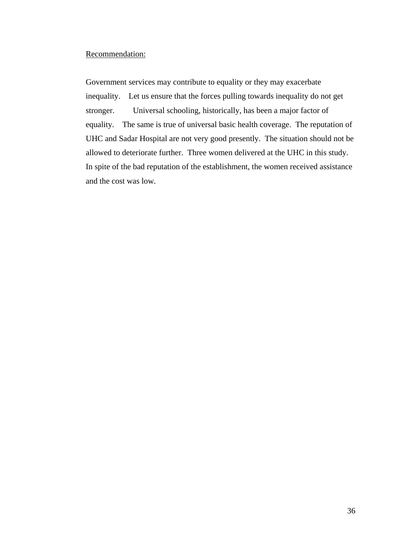#### Recommendation:

Government services may contribute to equality or they may exacerbate inequality. Let us ensure that the forces pulling towards inequality do not get stronger. Universal schooling, historically, has been a major factor of equality. The same is true of universal basic health coverage. The reputation of UHC and Sadar Hospital are not very good presently. The situation should not be allowed to deteriorate further. Three women delivered at the UHC in this study. In spite of the bad reputation of the establishment, the women received assistance and the cost was low.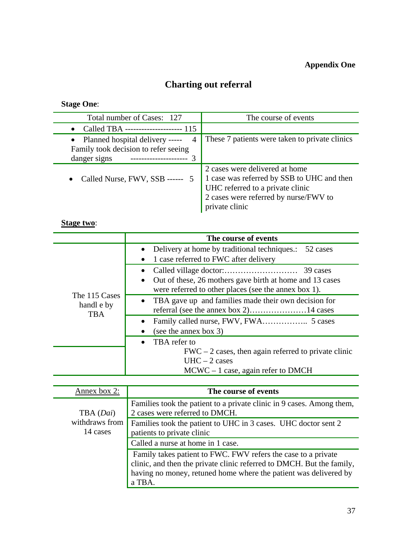# **Appendix One**

# **Charting out referral**

**Stage One**:

| Total number of Cases: 127                                                                                                      | The course of events                                                                                                                                                        |
|---------------------------------------------------------------------------------------------------------------------------------|-----------------------------------------------------------------------------------------------------------------------------------------------------------------------------|
| Called TBA --------------------- 115<br>$\bullet$                                                                               |                                                                                                                                                                             |
| • Planned hospital delivery -----<br>$\overline{4}$<br>Family took decision to refer seeing<br>danger signs<br>---------------- | These 7 patients were taken to private clinics                                                                                                                              |
| Called Nurse, FWV, SSB ------<br>$\bullet$                                                                                      | 2 cases were delivered at home<br>1 case was referred by SSB to UHC and then<br>UHC referred to a private clinic<br>2 cases were referred by nurse/FWV to<br>private clinic |

# **Stage two**:

|                                           | The course of events                                                                                             |
|-------------------------------------------|------------------------------------------------------------------------------------------------------------------|
|                                           | Delivery at home by traditional techniques.: 52 cases                                                            |
| The 115 Cases<br>handl e by<br><b>TBA</b> | 1 case referred to FWC after delivery                                                                            |
|                                           |                                                                                                                  |
|                                           | Out of these, 26 mothers gave birth at home and 13 cases<br>were referred to other places (see the annex box 1). |
|                                           | • TBA gave up and families made their own decision for                                                           |
|                                           | (see the annex box 3)                                                                                            |
|                                           | TBA refer to                                                                                                     |
|                                           | $FWC - 2$ cases, then again referred to private clinic                                                           |
|                                           | $UHC - 2 cases$                                                                                                  |
|                                           | $MCWC - 1$ case, again refer to DMCH                                                                             |

| Annex box 2:               | The course of events                                                                                                                                                                                                 |
|----------------------------|----------------------------------------------------------------------------------------------------------------------------------------------------------------------------------------------------------------------|
| TBA (Dai)                  | Families took the patient to a private clinic in 9 cases. Among them,<br>2 cases were referred to DMCH.                                                                                                              |
| withdraws from<br>14 cases | Families took the patient to UHC in 3 cases. UHC doctor sent 2<br>patients to private clinic                                                                                                                         |
|                            | Called a nurse at home in 1 case.                                                                                                                                                                                    |
|                            | Family takes patient to FWC. FWV refers the case to a private<br>clinic, and then the private clinic referred to DMCH. But the family,<br>having no money, retuned home where the patient was delivered by<br>a TBA. |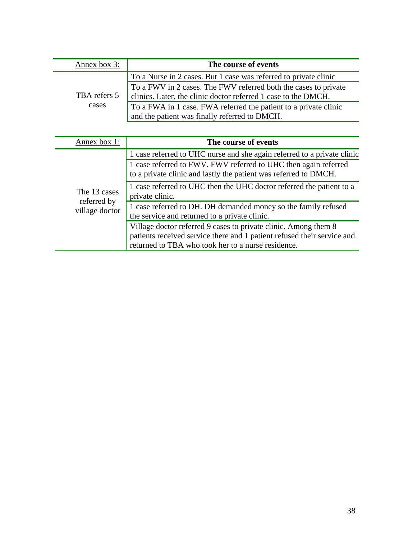| Annex box 3: | The course of events                                                                                                              |
|--------------|-----------------------------------------------------------------------------------------------------------------------------------|
|              | To a Nurse in 2 cases. But 1 case was referred to private clinic                                                                  |
| TBA refers 5 | To a FWV in 2 cases. The FWV referred both the cases to private<br>clinics. Later, the clinic doctor referred 1 case to the DMCH. |
| cases        | To a FWA in 1 case. FWA referred the patient to a private clinic<br>and the patient was finally referred to DMCH.                 |

| Annex box 1:                                  | The course of events                                                                                                                                                                             |
|-----------------------------------------------|--------------------------------------------------------------------------------------------------------------------------------------------------------------------------------------------------|
| The 13 cases<br>referred by<br>village doctor | 1 case referred to UHC nurse and she again referred to a private clinic                                                                                                                          |
|                                               | 1 case referred to FWV. FWV referred to UHC then again referred<br>to a private clinic and lastly the patient was referred to DMCH.                                                              |
|                                               | 1 case referred to UHC then the UHC doctor referred the patient to a<br>private clinic.                                                                                                          |
|                                               | 1 case referred to DH. DH demanded money so the family refused<br>the service and returned to a private clinic.                                                                                  |
|                                               | Village doctor referred 9 cases to private clinic. Among them 8<br>patients received service there and 1 patient refused their service and<br>returned to TBA who took her to a nurse residence. |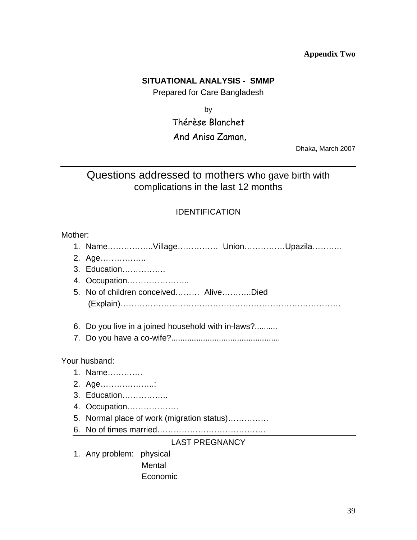# **Appendix Two**

# **SITUATIONAL ANALYSIS - SMMP**

Prepared for Care Bangladesh

by

# Thérèse Blanchet

# And Anisa Zaman,

Dhaka, March 2007

# Questions addressed to mothers who gave birth with complications in the last 12 months

# IDENTIFICATION

| Mother: |                                                 |  |  |
|---------|-------------------------------------------------|--|--|
|         | 1. NameVillage UnionUpazila                     |  |  |
|         | 2. Age                                          |  |  |
|         | 3. Education                                    |  |  |
|         |                                                 |  |  |
|         | 5. No of children conceived AliveDied           |  |  |
| 6.      | Do you live in a joined household with in-laws? |  |  |
|         |                                                 |  |  |
|         | Your husband:                                   |  |  |
|         | 1. Name                                         |  |  |
|         | 2. Age                                          |  |  |
|         | 3. Education                                    |  |  |
|         | 4. Occupation                                   |  |  |
|         | 5. Normal place of work (migration status)      |  |  |
|         |                                                 |  |  |
|         | <b>LAST PREGNANCY</b>                           |  |  |
|         | 1. Any problem: physical                        |  |  |
|         | Mental                                          |  |  |
|         | Economic                                        |  |  |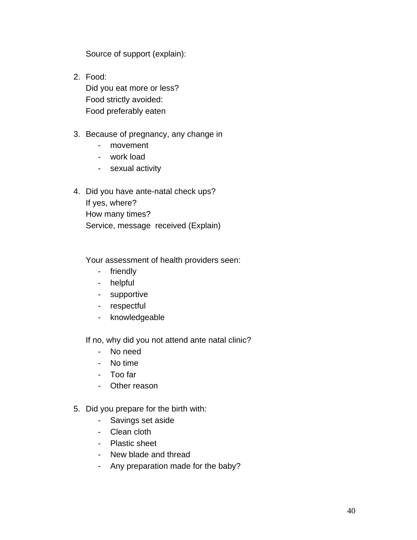Source of support (explain):

- 2. Food: Did you eat more or less? Food strictly avoided: Food preferably eaten
- 3. Because of pregnancy, any change in
	- movement
	- work load
	- sexual activity
- 4. Did you have ante-natal check ups? If yes, where? How many times? Service, message received (Explain)

Your assessment of health providers seen:

- friendly
- helpful
- supportive
- respectful
- knowledgeable

If no, why did you not attend ante natal clinic?

- No need
- No time
- Too far
- Other reason
- 5. Did you prepare for the birth with:
	- Savings set aside
	- Clean cloth
	- Plastic sheet
	- New blade and thread
	- Any preparation made for the baby?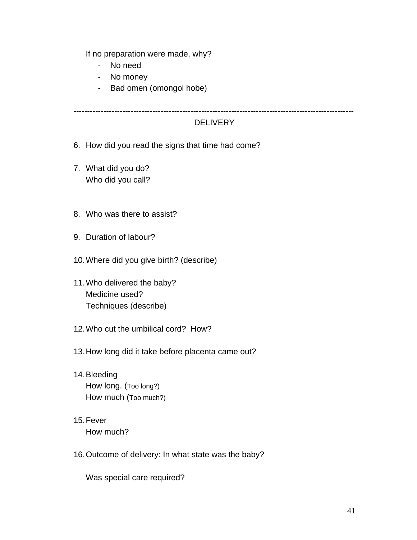If no preparation were made, why?

- No need
- No money
- Bad omen (omongol hobe)

-------------------------------------------------------------------------------------------------------

# **DELIVERY**

- 6. How did you read the signs that time had come?
- 7. What did you do? Who did you call?
- 8. Who was there to assist?
- 9. Duration of labour?
- 10. Where did you give birth? (describe)
- 11. Who delivered the baby? Medicine used? Techniques (describe)
- 12. Who cut the umbilical cord? How?
- 13. How long did it take before placenta came out?
- 14. Bleeding How long. (Too long?) How much (Too much?)
- 15. Fever How much?
- 16. Outcome of delivery: In what state was the baby?

Was special care required?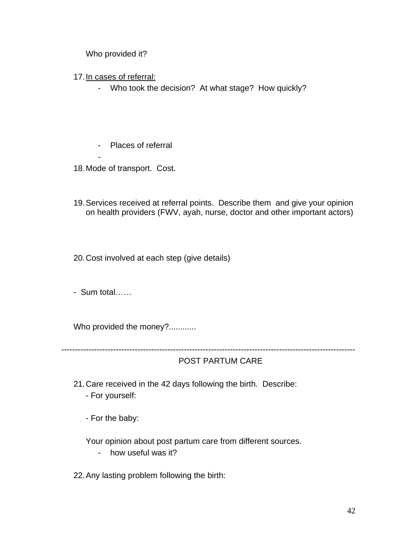Who provided it?

- 17. In cases of referral:
	- Who took the decision? At what stage? How quickly?
	- Places of referral
- 18. Mode of transport. Cost.

-

19. Services received at referral points. Describe them and give your opinion on health providers (FWV, ayah, nurse, doctor and other important actors)

20. Cost involved at each step (give details)

- Sum total……

Who provided the money?............

------------------------------------------------------------------------------------------------------------

POST PARTUM CARE

- 21. Care received in the 42 days following the birth. Describe:
	- For yourself:
	- For the baby:

Your opinion about post partum care from different sources.

- how useful was it?

22. Any lasting problem following the birth: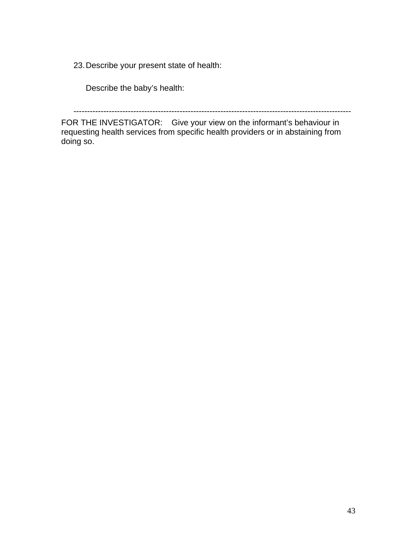23. Describe your present state of health:

Describe the baby's health:

------------------------------------------------------------------------------------------------------

FOR THE INVESTIGATOR: Give your view on the informant's behaviour in requesting health services from specific health providers or in abstaining from doing so.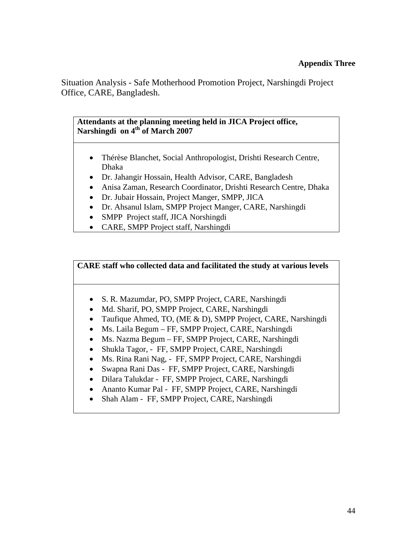Situation Analysis - Safe Motherhood Promotion Project, Narshingdi Project Office, CARE, Bangladesh.

**Attendants at the planning meeting held in JICA Project office,**  Narshingdi on 4<sup>th</sup> of March 2007

- Thérèse Blanchet, Social Anthropologist, Drishti Research Centre, Dhaka
- Dr. Jahangir Hossain, Health Advisor, CARE, Bangladesh
- Anisa Zaman, Research Coordinator, Drishti Research Centre, Dhaka
- Dr. Jubair Hossain, Project Manger, SMPP, JICA
- Dr. Ahsanul Islam, SMPP Project Manger, CARE, Narshingdi
- SMPP Project staff, JICA Norshingdi
- CARE, SMPP Project staff, Narshingdi

**CARE staff who collected data and facilitated the study at various levels** 

- S. R. Mazumdar, PO, SMPP Project, CARE, Narshingdi
- Md. Sharif, PO, SMPP Project, CARE, Narshingdi
- Taufique Ahmed, TO, (ME & D), SMPP Project, CARE, Narshingdi
- Ms. Laila Begum FF, SMPP Project, CARE, Narshingdi
- Ms. Nazma Begum FF, SMPP Project, CARE, Narshingdi
- Shukla Tagor, FF, SMPP Project, CARE, Narshingdi
- Ms. Rina Rani Nag, FF, SMPP Project, CARE, Narshingdi
- Swapna Rani Das FF, SMPP Project, CARE, Narshingdi
- Dilara Talukdar FF, SMPP Project, CARE, Narshingdi
- Ananto Kumar Pal FF, SMPP Project, CARE, Narshingdi
- Shah Alam FF, SMPP Project, CARE, Narshingdi